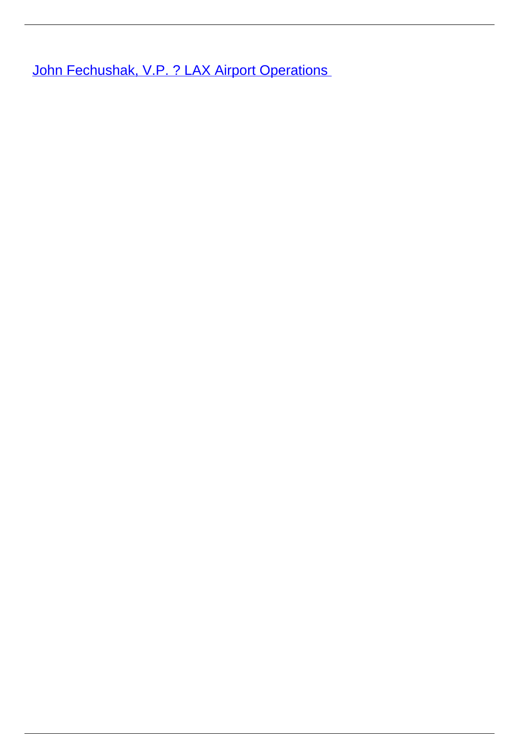**[John Fechushak, V.P. ? LAX Airport Operations](/leader-bio-john-fechushak-vp-lax-airport-operations)**